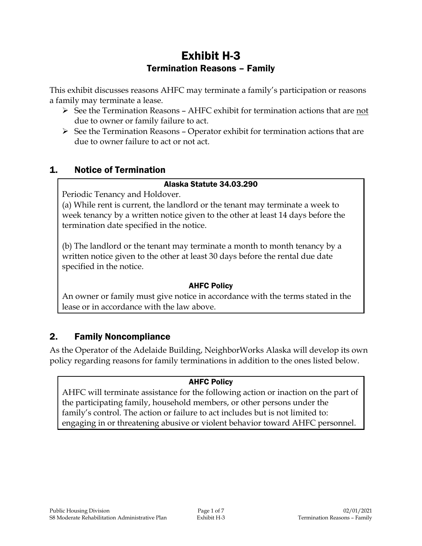# Exhibit H-3 Termination Reasons – Family

This exhibit discusses reasons AHFC may terminate a family's participation or reasons a family may terminate a lease.

- $\triangleright$  See the Termination Reasons AHFC exhibit for termination actions that are not due to owner or family failure to act.
- $\triangleright$  See the Termination Reasons Operator exhibit for termination actions that are due to owner failure to act or not act.

# 1. Notice of Termination

#### Alaska Statute 34.03.290

Periodic Tenancy and Holdover.

(a) While rent is current, the landlord or the tenant may terminate a week to week tenancy by a written notice given to the other at least 14 days before the termination date specified in the notice.

(b) The landlord or the tenant may terminate a month to month tenancy by a written notice given to the other at least 30 days before the rental due date specified in the notice.

#### AHFC Policy

An owner or family must give notice in accordance with the terms stated in the lease or in accordance with the law above.

# 2. Family Noncompliance

As the Operator of the Adelaide Building, NeighborWorks Alaska will develop its own policy regarding reasons for family terminations in addition to the ones listed below.

#### AHFC Policy

AHFC will terminate assistance for the following action or inaction on the part of the participating family, household members, or other persons under the family's control. The action or failure to act includes but is not limited to: engaging in or threatening abusive or violent behavior toward AHFC personnel.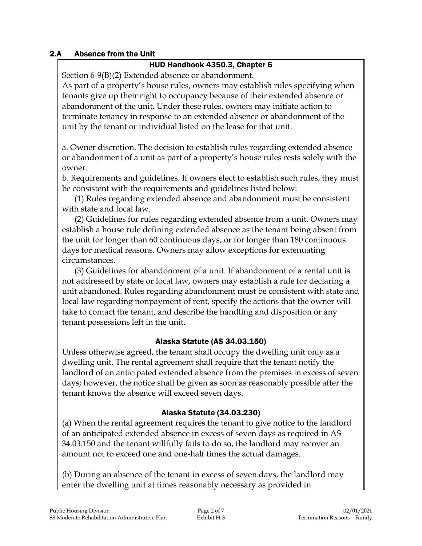#### 2.A Absence from the Unit

#### HUD Handbook 4350.3, Chapter 6

Section 6-9(B)(2) Extended absence or abandonment.

As part of a property's house rules, owners may establish rules specifying when tenants give up their right to occupancy because of their extended absence or abandonment of the unit. Under these rules, owners may initiate action to terminate tenancy in response to an extended absence or abandonment of the unit by the tenant or individual listed on the lease for that unit.

a. Owner discretion. The decision to establish rules regarding extended absence or abandonment of a unit as part of a property's house rules rests solely with the owner.

b. Requirements and guidelines. If owners elect to establish such rules, they must be consistent with the requirements and guidelines listed below:

(1) Rules regarding extended absence and abandonment must be consistent with state and local law.

(2) Guidelines for rules regarding extended absence from a unit. Owners may establish a house rule defining extended absence as the tenant being absent from the unit for longer than 60 continuous days, or for longer than 180 continuous days for medical reasons. Owners may allow exceptions for extenuating circumstances.

(3) Guidelines for abandonment of a unit. If abandonment of a rental unit is not addressed by state or local law, owners may establish a rule for declaring a unit abandoned. Rules regarding abandonment must be consistent with state and local law regarding nonpayment of rent, specify the actions that the owner will take to contact the tenant, and describe the handling and disposition or any tenant possessions left in the unit.

#### Alaska Statute (AS 34.03.150)

Unless otherwise agreed, the tenant shall occupy the dwelling unit only as a dwelling unit. The rental agreement shall require that the tenant notify the landlord of an anticipated extended absence from the premises in excess of seven days; however, the notice shall be given as soon as reasonably possible after the tenant knows the absence will exceed seven days.

#### Alaska Statute (34.03.230)

(a) When the rental agreement requires the tenant to give notice to the landlord of an anticipated extended absence in excess of seven days as required in AS 34.03.150 and the tenant willfully fails to do so, the landlord may recover an amount not to exceed one and one-half times the actual damages.

(b) During an absence of the tenant in excess of seven days, the landlord may enter the dwelling unit at times reasonably necessary as provided in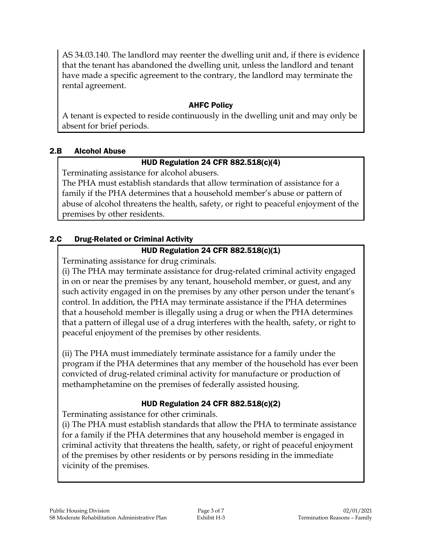AS 34.03.140. The landlord may reenter the dwelling unit and, if there is evidence that the tenant has abandoned the dwelling unit, unless the landlord and tenant have made a specific agreement to the contrary, the landlord may terminate the rental agreement.

## AHFC Policy

A tenant is expected to reside continuously in the dwelling unit and may only be absent for brief periods.

### 2.B Alcohol Abuse

# HUD Regulation 24 CFR 882.518(c)(4)

Terminating assistance for alcohol abusers.

The PHA must establish standards that allow termination of assistance for a family if the PHA determines that a household member's abuse or pattern of abuse of alcohol threatens the health, safety, or right to peaceful enjoyment of the premises by other residents.

# 2.C Drug-Related or Criminal Activity

# HUD Regulation 24 CFR 882.518(c)(1)

Terminating assistance for drug criminals.

(i) The PHA may terminate assistance for drug-related criminal activity engaged in on or near the premises by any tenant, household member, or guest, and any such activity engaged in on the premises by any other person under the tenant's control. In addition, the PHA may terminate assistance if the PHA determines that a household member is illegally using a drug or when the PHA determines that a pattern of illegal use of a drug interferes with the health, safety, or right to peaceful enjoyment of the premises by other residents.

(ii) The PHA must immediately terminate assistance for a family under the program if the PHA determines that any member of the household has ever been convicted of drug-related criminal activity for manufacture or production of methamphetamine on the premises of federally assisted housing.

# HUD Regulation 24 CFR 882.518(c)(2)

Terminating assistance for other criminals.

(i) The PHA must establish standards that allow the PHA to terminate assistance for a family if the PHA determines that any household member is engaged in criminal activity that threatens the health, safety, or right of peaceful enjoyment of the premises by other residents or by persons residing in the immediate vicinity of the premises.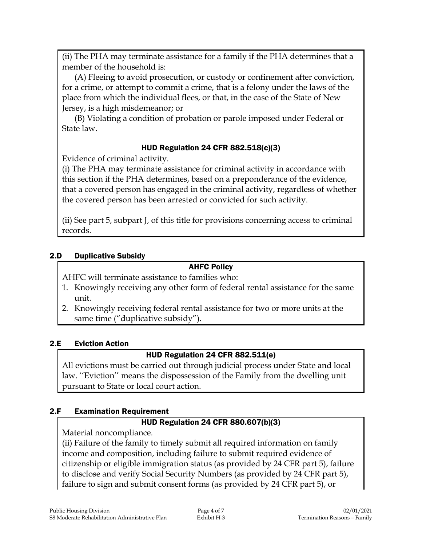(ii) The PHA may terminate assistance for a family if the PHA determines that a member of the household is:

(A) Fleeing to avoid prosecution, or custody or confinement after conviction, for a crime, or attempt to commit a crime, that is a felony under the laws of the place from which the individual flees, or that, in the case of the State of New Jersey, is a high misdemeanor; or

(B) Violating a condition of probation or parole imposed under Federal or State law.

### HUD Regulation 24 CFR 882.518(c)(3)

Evidence of criminal activity.

(i) The PHA may terminate assistance for criminal activity in accordance with this section if the PHA determines, based on a preponderance of the evidence, that a covered person has engaged in the criminal activity, regardless of whether the covered person has been arrested or convicted for such activity.

(ii) See part 5, subpart J, of this title for provisions concerning access to criminal records.

#### 2.D Duplicative Subsidy

#### AHFC Policy

AHFC will terminate assistance to families who:

- 1. Knowingly receiving any other form of federal rental assistance for the same unit.
- 2. Knowingly receiving federal rental assistance for two or more units at the same time ("duplicative subsidy").

#### 2.E Eviction Action

#### HUD Regulation 24 CFR 882.511(e)

All evictions must be carried out through judicial process under State and local law. ''Eviction'' means the dispossession of the Family from the dwelling unit pursuant to State or local court action.

#### 2.F Examination Requirement

#### HUD Regulation 24 CFR 880.607(b)(3)

Material noncompliance.

(ii) Failure of the family to timely submit all required information on family income and composition, including failure to submit required evidence of citizenship or eligible immigration status (as provided by 24 CFR part 5), failure to disclose and verify Social Security Numbers (as provided by 24 CFR part 5), failure to sign and submit consent forms (as provided by 24 CFR part 5), or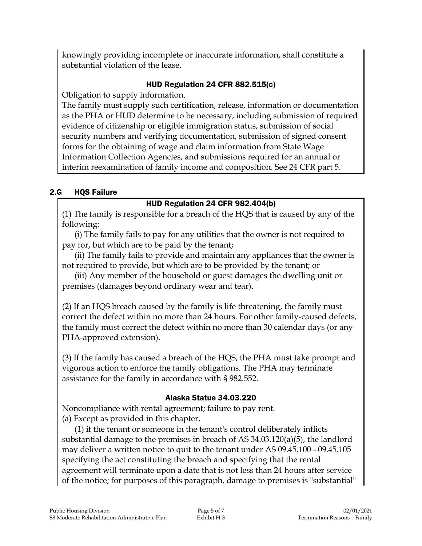knowingly providing incomplete or inaccurate information, shall constitute a substantial violation of the lease.

# HUD Regulation 24 CFR 882.515(c)

Obligation to supply information.

The family must supply such certification, release, information or documentation as the PHA or HUD determine to be necessary, including submission of required evidence of citizenship or eligible immigration status, submission of social security numbers and verifying documentation, submission of signed consent forms for the obtaining of wage and claim information from State Wage Information Collection Agencies, and submissions required for an annual or interim reexamination of family income and composition. See 24 CFR part 5.

### 2.G HQS Failure

### HUD Regulation 24 CFR 982.404(b)

(1) The family is responsible for a breach of the HQS that is caused by any of the following:

(i) The family fails to pay for any utilities that the owner is not required to pay for, but which are to be paid by the tenant;

(ii) The family fails to provide and maintain any appliances that the owner is not required to provide, but which are to be provided by the tenant; or

(iii) Any member of the household or guest damages the dwelling unit or premises (damages beyond ordinary wear and tear).

(2) If an HQS breach caused by the family is life threatening, the family must correct the defect within no more than 24 hours. For other family-caused defects, the family must correct the defect within no more than 30 calendar days (or any PHA-approved extension).

(3) If the family has caused a breach of the HQS, the PHA must take prompt and vigorous action to enforce the family obligations. The PHA may terminate assistance for the family in accordance with § 982.552.

#### Alaska Statue 34.03.220

Noncompliance with rental agreement; failure to pay rent. (a) Except as provided in this chapter,

(1) if the tenant or someone in the tenant's control deliberately inflicts substantial damage to the premises in breach of AS 34.03.120(a)(5), the landlord may deliver a written notice to quit to the tenant under AS 09.45.100 - 09.45.105 specifying the act constituting the breach and specifying that the rental agreement will terminate upon a date that is not less than 24 hours after service of the notice; for purposes of this paragraph, damage to premises is "substantial"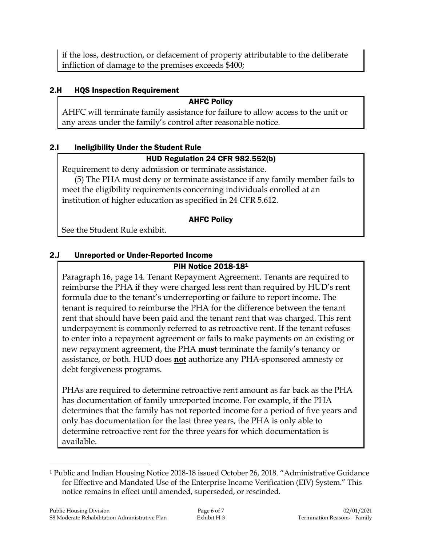if the loss, destruction, or defacement of property attributable to the deliberate infliction of damage to the premises exceeds \$400;

## 2.H HQS Inspection Requirement

#### AHFC Policy

AHFC will terminate family assistance for failure to allow access to the unit or any areas under the family's control after reasonable notice.

#### 2.I Ineligibility Under the Student Rule

# HUD Regulation 24 CFR 982.552(b)

Requirement to deny admission or terminate assistance.

(5) The PHA must deny or terminate assistance if any family member fails to meet the eligibility requirements concerning individuals enrolled at an institution of higher education as specified in 24 CFR 5.612.

# AHFC Policy

See the Student Rule exhibit.

# 2.J Unreported or Under-Reported Income

# PIH Notice 2018-18<sup>1</sup>

Paragraph 16, page 14. Tenant Repayment Agreement. Tenants are required to reimburse the PHA if they were charged less rent than required by HUD's rent formula due to the tenant's underreporting or failure to report income. The tenant is required to reimburse the PHA for the difference between the tenant rent that should have been paid and the tenant rent that was charged. This rent underpayment is commonly referred to as retroactive rent. If the tenant refuses to enter into a repayment agreement or fails to make payments on an existing or new repayment agreement, the PHA **must** terminate the family's tenancy or assistance, or both. HUD does **not** authorize any PHA-sponsored amnesty or debt forgiveness programs.

PHAs are required to determine retroactive rent amount as far back as the PHA has documentation of family unreported income. For example, if the PHA determines that the family has not reported income for a period of five years and only has documentation for the last three years, the PHA is only able to determine retroactive rent for the three years for which documentation is available.

 $\overline{a}$ 

<sup>1</sup> Public and Indian Housing Notice 2018-18 issued October 26, 2018. "Administrative Guidance for Effective and Mandated Use of the Enterprise Income Verification (EIV) System." This notice remains in effect until amended, superseded, or rescinded.